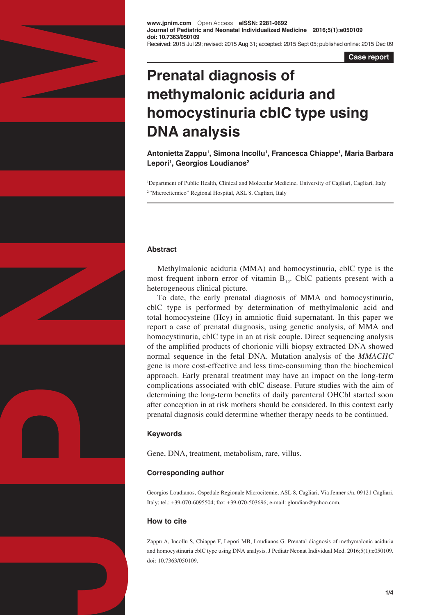

**www.jpnim.com** Open Access **eISSN: 2281-0692 Journal of Pediatric and Neonatal Individualized Medicine 2016;5(1):e050109 doi: 10.7363/050109** Received: 2015 Jul 29; revised: 2015 Aug 31; accepted: 2015 Sept 05; published online: 2015 Dec 09

**Case report**

# **Prenatal diagnosis of methymalonic aciduria and homocystinuria cblC type using DNA analysis**

**Antonietta Zappu1 , Simona Incollu1 , Francesca Chiappe1 , Maria Barbara Lepori1 , Georgios Loudianos2**

<sup>1</sup>Department of Public Health, Clinical and Molecular Medicine, University of Cagliari, Cagliari, Italy 2 "Microcitemico" Regional Hospital, ASL 8, Cagliari, Italy

# **Abstract**

Methylmalonic aciduria (MMA) and homocystinuria, cblC type is the most frequent inborn error of vitamin  $B_{12}$ . CblC patients present with a heterogeneous clinical picture.

To date, the early prenatal diagnosis of MMA and homocystinuria, cblC type is performed by determination of methylmalonic acid and total homocysteine (Hcy) in amniotic fluid supernatant. In this paper we report a case of prenatal diagnosis, using genetic analysis, of MMA and homocystinuria, cblC type in an at risk couple. Direct sequencing analysis of the amplified products of chorionic villi biopsy extracted DNA showed normal sequence in the fetal DNA. Mutation analysis of the *MMACHC* gene is more cost-effective and less time-consuming than the biochemical approach. Early prenatal treatment may have an impact on the long-term complications associated with cblC disease. Future studies with the aim of determining the long-term benefits of daily parenteral OHCbl started soon after conception in at risk mothers should be considered. In this context early prenatal diagnosis could determine whether therapy needs to be continued.

## **Keywords**

Gene, DNA, treatment, metabolism, rare, villus.

## **Corresponding author**

Georgios Loudianos, Ospedale Regionale Microcitemie, ASL 8, Cagliari, Via Jenner s/n, 09121 Cagliari, Italy; tel.: +39-070-6095504; fax: +39-070-503696; e-mail: gloudian@yahoo.com.

## **How to cite**

Zappu A, Incollu S, Chiappe F, Lepori MB, Loudianos G. Prenatal diagnosis of methymalonic aciduria and homocystinuria cblC type using DNA analysis. J Pediatr Neonat Individual Med. 2016;5(1):e050109. doi: 10.7363/050109.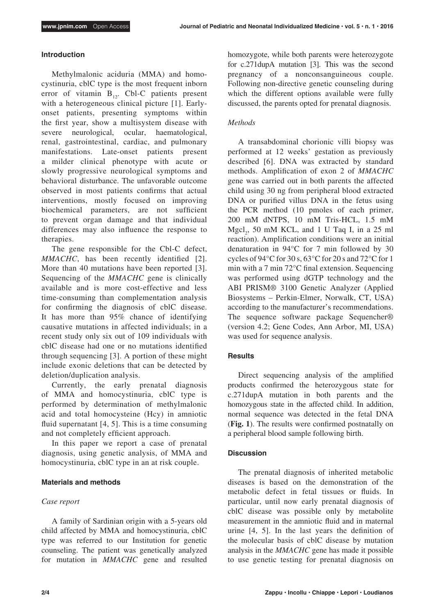#### **Introduction**

Methylmalonic aciduria (MMA) and homocystinuria, cblC type is the most frequent inborn error of vitamin  $B_{12}$ . Cbl-C patients present with a heterogeneous clinical picture [1]. Earlyonset patients, presenting symptoms within the first year, show a multisystem disease with severe neurological, ocular, haematological, renal, gastrointestinal, cardiac, and pulmonary manifestations. Late-onset patients present a milder clinical phenotype with acute or slowly progressive neurological symptoms and behavioral disturbance. The unfavorable outcome observed in most patients confirms that actual interventions, mostly focused on improving biochemical parameters, are not sufficient to prevent organ damage and that individual differences may also influence the response to therapies.

The gene responsible for the Cbl-C defect, *MMACHC*, has been recently identified [2]. More than 40 mutations have been reported [3]. Sequencing of the *MMACHC* gene is clinically available and is more cost-effective and less time-consuming than complementation analysis for confirming the diagnosis of cblC disease. It has more than 95% chance of identifying causative mutations in affected individuals; in a recent study only six out of 109 individuals with cblC disease had one or no mutations identified through sequencing [3]. A portion of these might include exonic deletions that can be detected by deletion/duplication analysis.

Currently, the early prenatal diagnosis of MMA and homocystinuria, cblC type is performed by determination of methylmalonic acid and total homocysteine (Hcy) in amniotic fluid supernatant  $[4, 5]$ . This is a time consuming and not completely efficient approach.

In this paper we report a case of prenatal diagnosis, using genetic analysis, of MMA and homocystinuria, cblC type in an at risk couple.

#### **Materials and methods**

#### *Case report*

A family of Sardinian origin with a 5-years old child affected by MMA and homocystinuria, cblC type was referred to our Institution for genetic counseling. The patient was genetically analyzed for mutation in *MMACHC* gene and resulted homozygote, while both parents were heterozygote for c.271dupA mutation [3]. This was the second pregnancy of a nonconsanguineous couple. Following non-directive genetic counseling during which the different options available were fully discussed, the parents opted for prenatal diagnosis.

# *Methods*

A transabdominal chorionic villi biopsy was performed at 12 weeks' gestation as previously described [6]. DNA was extracted by standard methods. Amplification of exon 2 of *MMACHC* gene was carried out in both parents the affected child using 30 ng from peripheral blood extracted DNA or purified villus DNA in the fetus using the PCR method (10 pmoles of each primer, 200 mM dNTPS, 10 mM Tris-HCL, 1.5 mM  $Mgl<sub>2</sub>$ , 50 mM KCL, and 1 U Taq I, in a 25 ml reaction). Amplification conditions were an initial denaturation in 94°C for 7 min followed by 30 cycles of 94°C for 30 s, 63°C for 20 s and 72°C for 1 min with a 7 min 72°C final extension. Sequencing was performed using dGTP technology and the ABI PRISM® 3100 Genetic Analyzer (Applied Biosystems – Perkin-Elmer, Norwalk, CT, USA) according to the manufacturer's recommendations. The sequence software package Sequencher® (version 4.2; Gene Codes, Ann Arbor, MI, USA) was used for sequence analysis.

## **Results**

Direct sequencing analysis of the amplified products confirmed the heterozygous state for c.271dupA mutation in both parents and the homozygous state in the affected child. In addition, normal sequence was detected in the fetal DNA (**Fig. 1**). The results were confirmed postnatally on a peripheral blood sample following birth.

#### **Discussion**

The prenatal diagnosis of inherited metabolic diseases is based on the demonstration of the metabolic defect in fetal tissues or fluids. In particular, until now early prenatal diagnosis of cblC disease was possible only by metabolite measurement in the amniotic fluid and in maternal urine [4, 5]. In the last years the definition of the molecular basis of cblC disease by mutation analysis in the *MMACHC* gene has made it possible to use genetic testing for prenatal diagnosis on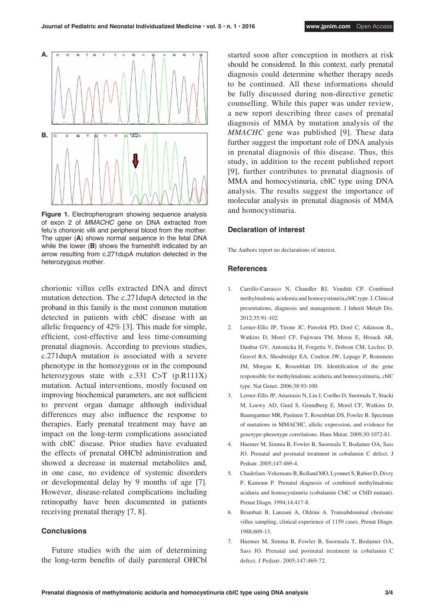

**Figure 1.** Electropherogram showing sequence analysis of exon 2 of *MMACHC* gene on DNA extracted from fetu's chorionic villi and peripheral blood from the mother. The upper (**A**) shows normal sequence in the fetal DNA while the lower (**B**) shows the frameshift indicated by an arrow resulting from c.271dupA mutation detected in the heterozygous mother.

chorionic villus cells extracted DNA and direct mutation detection. The c.271dupA detected in the proband in this family is the most common mutation detected in patients with cblC disease with an allelic frequency of 42% [3]. This made for simple, efficient, cost-effective and less time-consuming prenatal diagnosis. According to previous studies, c.271dupA mutation is associated with a severe phenotype in the homozygous or in the compound heterozygous state with c.331 C>T (p.R111X) mutation. Actual interventions, mostly focused on improving biochemical parameters, are not sufficient to prevent organ damage although individual differences may also influence the response to therapies. Early prenatal treatment may have an impact on the long-term complications associated with cblC disease. Prior studies have evaluated the effects of prenatal OHCbl administration and showed a decrease in maternal metabolites and, in one case, no evidence of systemic disorders or developmental delay by 9 months of age [7]. However, disease-related complications including retinopathy have been documented in patients receiving prenatal therapy [7, 8].

## **Conclusions**

Future studies with the aim of determining the long-term benefits of daily parenteral OHCbl started soon after conception in mothers at risk should be considered. In this context, early prenatal diagnosis could determine whether therapy needs to be continued. All these informations should be fully discussed during non-directive genetic counselling. While this paper was under review, a new report describing three cases of prenatal diagnosis of MMA by mutation analysis of the *MMACHC* gene was published [9]. These data further suggest the important role of DNA analysis in prenatal diagnosis of this disease. Thus, this study, in addition to the recent published report [9], further contributes to prenatal diagnosis of MMA and homocystinuria, cblC type using DNA analysis. The results suggest the importance of molecular analysis in prenatal diagnosis of MMA and homocystinuria.

## **Declaration of interest**

The Authors report no declarations of interest.

#### **References**

- 1. Carrillo-Carrasco N, Chandler RJ, Venditti CP. Combined methylmalonic acidemia and homocystinuria,cblC type. I. Clinical presentations, diagnosis and management. J Inherit Metab Dis. 2012;35:91-102.
- 2. Lerner-Ellis JP, Tirone JC, Pawelek PD, Doré C, Atkinson JL, Watkins D, Morel CF, Fujiwara TM, Moras E, Hosack AR, Dunbar GV, Antonicka H, Forgetta V, Dobson CM, Leclerc D, Gravel RA, Shoubridge EA, Coulton JW, Lepage P, Rommens JM, Morgan K, Rosenblatt DS. Identification of the gene responsible for methylmalonic aciduria and homocystinuria, cblC type. Nat Genet. 2006;38:93-100.
- 3. Lerner-Ellis JP, Anastasio N, Liu J, Coelho D, Suormala T, Stucki M, Loewy AD, Gurd S, Grundberg E, Morel CF, Watkins D, Baumgartner MR, Pastinen T, Rosenblatt DS, Fowler B. Spectrum of mutations in MMACHC, allelic expression, and evidence for genotype-phenotype correlations. Hum Mutat. 2009;30:1072-81.
- 4. Huemer M, Simma B, Fowler B, Suormala T, Bodamer OA, Sass JO. Prenatal and postnatal treatment in cobalamin C defect. J Pediatr. 2005;147:469-4.
- 5. Chadefaux-Vekemans B, Rolland MO, Lyonnet S, Rabier D, Divry P, Kamoun P. Prenatal diagnosis of combined methylmalonic aciduria and homocystinuria (cobalamin CblC or CblD mutant). Prenat Diagn. 1994;14:417-8.
- 6. Brambati B, Lanzani A, Oldrini A. Transabdominal chorionic villus sampling, clinical experience of 1159 cases. Prenat Diagn. 1988;609-13.
- 7. Huemer M, Simma B, Fowler B, Suormala T, Bodamer OA, Sass JO. Prenatal and postnatal treatment in cobalamin C defect. J Pediatr. 2005;147:469-72.